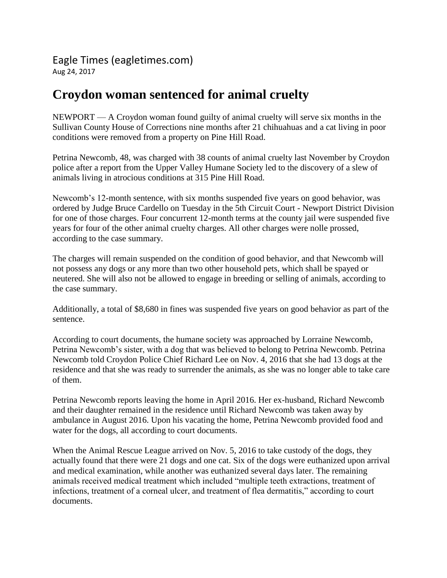Eagle Times (eagletimes.com) Aug 24, 2017

## **Croydon woman sentenced for animal cruelty**

NEWPORT — A Croydon woman found guilty of animal cruelty will serve six months in the Sullivan County House of Corrections nine months after 21 chihuahuas and a cat living in poor conditions were removed from a property on Pine Hill Road.

Petrina Newcomb, 48, was charged with 38 counts of animal cruelty last November by Croydon police after a report from the Upper Valley Humane Society led to the discovery of a slew of animals living in atrocious conditions at 315 Pine Hill Road.

Newcomb's 12-month sentence, with six months suspended five years on good behavior, was ordered by Judge Bruce Cardello on Tuesday in the 5th Circuit Court - Newport District Division for one of those charges. Four concurrent 12-month terms at the county jail were suspended five years for four of the other animal cruelty charges. All other charges were nolle prossed, according to the case summary.

The charges will remain suspended on the condition of good behavior, and that Newcomb will not possess any dogs or any more than two other household pets, which shall be spayed or neutered. She will also not be allowed to engage in breeding or selling of animals, according to the case summary.

Additionally, a total of \$8,680 in fines was suspended five years on good behavior as part of the sentence.

According to court documents, the humane society was approached by Lorraine Newcomb, Petrina Newcomb's sister, with a dog that was believed to belong to Petrina Newcomb. Petrina Newcomb told Croydon Police Chief Richard Lee on Nov. 4, 2016 that she had 13 dogs at the residence and that she was ready to surrender the animals, as she was no longer able to take care of them.

Petrina Newcomb reports leaving the home in April 2016. Her ex-husband, Richard Newcomb and their daughter remained in the residence until Richard Newcomb was taken away by ambulance in August 2016. Upon his vacating the home, Petrina Newcomb provided food and water for the dogs, all according to court documents.

When the Animal Rescue League arrived on Nov. 5, 2016 to take custody of the dogs, they actually found that there were 21 dogs and one cat. Six of the dogs were euthanized upon arrival and medical examination, while another was euthanized several days later. The remaining animals received medical treatment which included "multiple teeth extractions, treatment of infections, treatment of a corneal ulcer, and treatment of flea dermatitis," according to court documents.